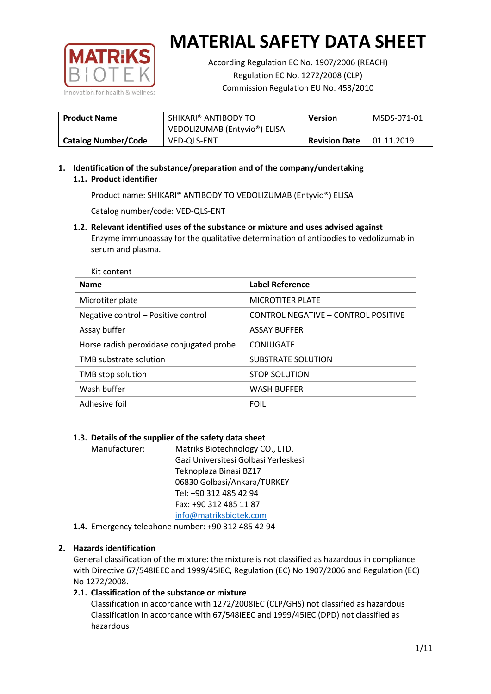

According Regulation EC No. 1907/2006 (REACH) Regulation EC No. 1272/2008 (CLP) Commission Regulation EU No. 453/2010

| <b>Product Name</b>        | SHIKARI® ANTIBODY TO<br><b>Version</b> |                      | MSDS-071-01 |
|----------------------------|----------------------------------------|----------------------|-------------|
|                            | VEDOLIZUMAB (Entyvio®) ELISA           |                      |             |
| <b>Catalog Number/Code</b> | VED-QLS-ENT                            | <b>Revision Date</b> | 01.11.2019  |

# **1. Identification of the substance/preparation and of the company/undertaking 1.1. Product identifier**

Product name: SHIKARI® ANTIBODY TO VEDOLIZUMAB (Entyvio®) ELISA

Catalog number/code: VED-QLS-ENT

**1.2. Relevant identified uses of the substance or mixture and uses advised against** Enzyme immunoassay for the qualitative determination of antibodies to vedolizumab in serum and plasma.

| Kit content                              |                                     |
|------------------------------------------|-------------------------------------|
| <b>Name</b>                              | <b>Label Reference</b>              |
| Microtiter plate                         | <b>MICROTITER PLATE</b>             |
| Negative control - Positive control      | CONTROL NEGATIVE - CONTROL POSITIVE |
| Assay buffer                             | <b>ASSAY BUFFER</b>                 |
| Horse radish peroxidase conjugated probe | CONJUGATE                           |
| TMB substrate solution                   | SUBSTRATE SOLUTION                  |
| TMB stop solution                        | <b>STOP SOLUTION</b>                |
| Wash buffer                              | <b>WASH BUFFER</b>                  |
| Adhesive foil                            | <b>FOIL</b>                         |

## **1.3. Details of the supplier of the safety data sheet**

Manufacturer: Matriks Biotechnology CO., LTD. Gazi Universitesi Golbasi Yerleskesi Teknoplaza Binasi BZ17 06830 Golbasi/Ankara/TURKEY Tel: +90 312 485 42 94 Fax: +90 312 485 11 87 [info@matriksbiotek.com](mailto:info@matriksbiotek.com)

**1.4.** Emergency telephone number: +90 312 485 42 94

## **2. Hazards identification**

General classification of the mixture: the mixture is not classified as hazardous in compliance with Directive 67/548IEEC and 1999/45IEC, Regulation (EC) No 1907/2006 and Regulation (EC) No 1272/2008.

## **2.1. Classification of the substance or mixture**

Classification in accordance with 1272/2008IEC (CLP/GHS) not classified as hazardous Classification in accordance with 67/548IEEC and 1999/45IEC (DPD) not classified as hazardous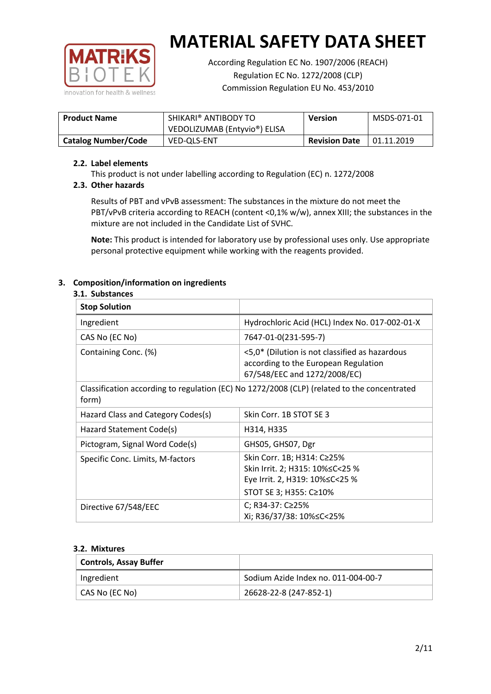

According Regulation EC No. 1907/2006 (REACH) Regulation EC No. 1272/2008 (CLP) Commission Regulation EU No. 453/2010

| <b>Product Name</b>        | SHIKARI® ANTIBODY TO<br>VEDOLIZUMAB (Entyvio®) ELISA | <b>Version</b>       | MSDS-071-01       |
|----------------------------|------------------------------------------------------|----------------------|-------------------|
| <b>Catalog Number/Code</b> | <b>VED-OLS-ENT</b>                                   | <b>Revision Date</b> | $\mid$ 01.11.2019 |

## **2.2. Label elements**

This product is not under labelling according to Regulation (EC) n. 1272/2008

## **2.3. Other hazards**

Results of PBT and vPvB assessment: The substances in the mixture do not meet the PBT/vPvB criteria according to REACH (content <0,1% w/w), annex XIII; the substances in the mixture are not included in the Candidate List of SVHC.

**Note:** This product is intended for laboratory use by professional uses only. Use appropriate personal protective equipment while working with the reagents provided.

## **3. Composition/information on ingredients**

### **3.1. Substances**

| <b>Stop Solution</b>               |                                                                                                                           |
|------------------------------------|---------------------------------------------------------------------------------------------------------------------------|
| Ingredient                         | Hydrochloric Acid (HCL) Index No. 017-002-01-X                                                                            |
| CAS No (EC No)                     | 7647-01-0(231-595-7)                                                                                                      |
| Containing Conc. (%)               | <5,0* (Dilution is not classified as hazardous<br>according to the European Regulation<br>67/548/EEC and 1272/2008/EC)    |
| form)                              | Classification according to regulation (EC) No 1272/2008 (CLP) (related to the concentrated                               |
| Hazard Class and Category Codes(s) | Skin Corr. 1B STOT SE 3                                                                                                   |
| Hazard Statement Code(s)           | H314, H335                                                                                                                |
| Pictogram, Signal Word Code(s)     | GHS05, GHS07, Dgr                                                                                                         |
| Specific Conc. Limits, M-factors   | Skin Corr. 1B; H314: C≥25%<br>Skin Irrit. 2; H315: 10%≤C<25 %<br>Eye Irrit. 2, H319: 10%≤C<25 %<br>STOT SE 3; H355: C≥10% |
| Directive 67/548/EEC               | C; R34-37: C≥25%<br>Xi; R36/37/38: 10% <<<<<<<                                                                            |

#### **3.2. Mixtures**

| <b>Controls, Assay Buffer</b> |                                     |
|-------------------------------|-------------------------------------|
| Ingredient                    | Sodium Azide Index no. 011-004-00-7 |
| CAS No (EC No)                | 26628-22-8 (247-852-1)              |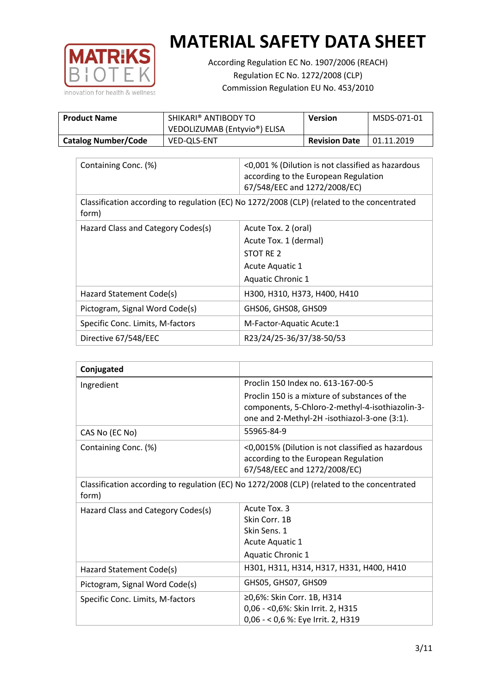

According Regulation EC No. 1907/2006 (REACH) Regulation EC No. 1272/2008 (CLP) Commission Regulation EU No. 453/2010

| <b>Product Name</b>        | SHIKARI® ANTIBODY TO<br>VEDOLIZUMAB (Entyvio®) ELISA | <b>Version</b>       | MSDS-071-01 |
|----------------------------|------------------------------------------------------|----------------------|-------------|
| <b>Catalog Number/Code</b> | <b>VED-QLS-ENT</b>                                   | <b>Revision Date</b> | 01.11.2019  |

| Containing Conc. (%)                                                                                 | <0,001 % (Dilution is not classified as hazardous<br>according to the European Regulation<br>67/548/EEC and 1272/2008/EC) |  |
|------------------------------------------------------------------------------------------------------|---------------------------------------------------------------------------------------------------------------------------|--|
| Classification according to regulation (EC) No 1272/2008 (CLP) (related to the concentrated<br>form) |                                                                                                                           |  |
| Hazard Class and Category Codes(s)                                                                   | Acute Tox. 2 (oral)                                                                                                       |  |
|                                                                                                      | Acute Tox. 1 (dermal)                                                                                                     |  |
|                                                                                                      | STOT RE 2                                                                                                                 |  |
|                                                                                                      | Acute Aquatic 1                                                                                                           |  |
|                                                                                                      | <b>Aquatic Chronic 1</b>                                                                                                  |  |
| Hazard Statement Code(s)                                                                             | H300, H310, H373, H400, H410                                                                                              |  |
| Pictogram, Signal Word Code(s)                                                                       | GHS06, GHS08, GHS09                                                                                                       |  |
| Specific Conc. Limits, M-factors                                                                     | M-Factor-Aquatic Acute:1                                                                                                  |  |
| Directive 67/548/EEC                                                                                 | R23/24/25-36/37/38-50/53                                                                                                  |  |

| Conjugated                         |                                                                                                                                                  |
|------------------------------------|--------------------------------------------------------------------------------------------------------------------------------------------------|
| Ingredient                         | Proclin 150 Index no. 613-167-00-5                                                                                                               |
|                                    | Proclin 150 is a mixture of substances of the<br>components, 5-Chloro-2-methyl-4-isothiazolin-3-<br>one and 2-Methyl-2H -isothiazol-3-one (3:1). |
| CAS No (EC No)                     | 55965-84-9                                                                                                                                       |
| Containing Conc. (%)               | <0,0015% (Dilution is not classified as hazardous<br>according to the European Regulation<br>67/548/EEC and 1272/2008/EC)                        |
| form)                              | Classification according to regulation (EC) No 1272/2008 (CLP) (related to the concentrated                                                      |
| Hazard Class and Category Codes(s) | Acute Tox. 3                                                                                                                                     |
|                                    | Skin Corr. 1B                                                                                                                                    |
|                                    | Skin Sens. 1                                                                                                                                     |
|                                    | Acute Aquatic 1                                                                                                                                  |
|                                    | <b>Aquatic Chronic 1</b>                                                                                                                         |
| Hazard Statement Code(s)           | H301, H311, H314, H317, H331, H400, H410                                                                                                         |
| Pictogram, Signal Word Code(s)     | GHS05, GHS07, GHS09                                                                                                                              |
| Specific Conc. Limits, M-factors   | ≥0,6%: Skin Corr. 1B, H314<br>0,06 - < 0,6%: Skin Irrit. 2, H315<br>0,06 - < 0,6 %: Eye Irrit. 2, H319                                           |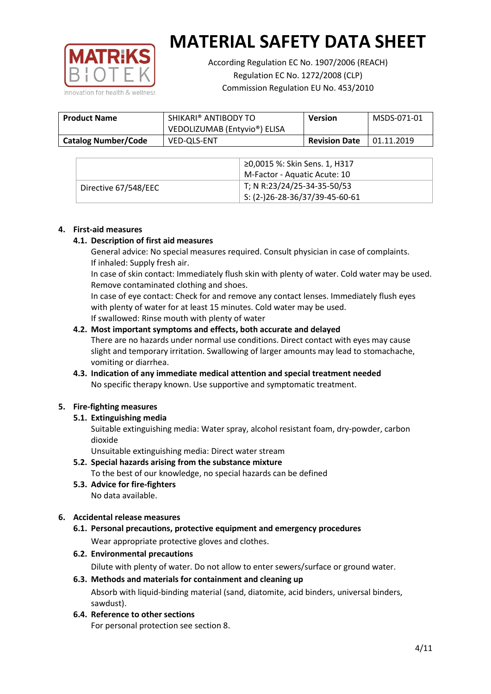

According Regulation EC No. 1907/2006 (REACH) Regulation EC No. 1272/2008 (CLP) Commission Regulation EU No. 453/2010

| <b>Product Name</b>        | SHIKARI® ANTIBODY TO<br>VEDOLIZUMAB (Entyvio®) ELISA | <b>Version</b>       | MSDS-071-01 |
|----------------------------|------------------------------------------------------|----------------------|-------------|
| <b>Catalog Number/Code</b> | <b>VED-OLS-ENT</b>                                   | <b>Revision Date</b> | 01.11.2019  |

|                      | ≥0,0015 %: Skin Sens. 1, H317                |
|----------------------|----------------------------------------------|
|                      | M-Factor - Aquatic Acute: 10                 |
| Directive 67/548/EEC | T; N R:23/24/25-34-35-50/53                  |
|                      | $\frac{1}{2}$ S: (2-)26-28-36/37/39-45-60-61 |

### **4. First-aid measures**

### **4.1. Description of first aid measures**

General advice: No special measures required. Consult physician in case of complaints. If inhaled: Supply fresh air.

In case of skin contact: Immediately flush skin with plenty of water. Cold water may be used. Remove contaminated clothing and shoes.

In case of eye contact: Check for and remove any contact lenses. Immediately flush eyes with plenty of water for at least 15 minutes. Cold water may be used. If swallowed: Rinse mouth with plenty of water

### **4.2. Most important symptoms and effects, both accurate and delayed**

There are no hazards under normal use conditions. Direct contact with eyes may cause slight and temporary irritation. Swallowing of larger amounts may lead to stomachache, vomiting or diarrhea.

## **4.3. Indication of any immediate medical attention and special treatment needed** No specific therapy known. Use supportive and symptomatic treatment.

## **5. Fire-fighting measures**

## **5.1. Extinguishing media**

Suitable extinguishing media: Water spray, alcohol resistant foam, dry-powder, carbon dioxide

Unsuitable extinguishing media: Direct water stream

- **5.2. Special hazards arising from the substance mixture** To the best of our knowledge, no special hazards can be defined
- **5.3. Advice for fire-fighters** No data available.

## **6. Accidental release measures**

- **6.1. Personal precautions, protective equipment and emergency procedures** Wear appropriate protective gloves and clothes.
- **6.2. Environmental precautions**

Dilute with plenty of water. Do not allow to enter sewers/surface or ground water.

#### **6.3. Methods and materials for containment and cleaning up**

Absorb with liquid-binding material (sand, diatomite, acid binders, universal binders, sawdust).

**6.4. Reference to other sections**

For personal protection see section 8.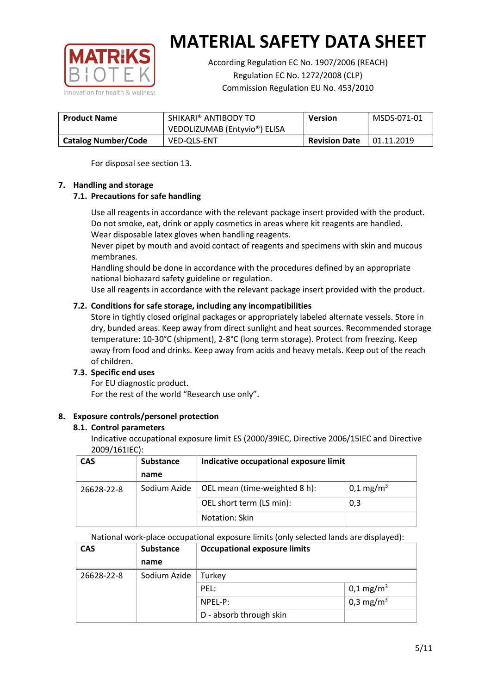

According Regulation EC No. 1907/2006 (REACH) Regulation EC No. 1272/2008 (CLP) Commission Regulation EU No. 453/2010

| <b>Product Name</b>        | SHIKARI® ANTIBODY TO<br><b>Version</b> |                      | MSDS-071-01 |
|----------------------------|----------------------------------------|----------------------|-------------|
|                            | VEDOLIZUMAB (Entyvio®) ELISA           |                      |             |
| <b>Catalog Number/Code</b> | VED-QLS-ENT                            | <b>Revision Date</b> | 01.11.2019  |

For disposal see section 13.

## **7. Handling and storage**

## **7.1. Precautions for safe handling**

Use all reagents in accordance with the relevant package insert provided with the product. Do not smoke, eat, drink or apply cosmetics in areas where kit reagents are handled. Wear disposable latex gloves when handling reagents.

Never pipet by mouth and avoid contact of reagents and specimens with skin and mucous membranes.

Handling should be done in accordance with the procedures defined by an appropriate national biohazard safety guideline or regulation.

Use all reagents in accordance with the relevant package insert provided with the product.

## **7.2. Conditions for safe storage, including any incompatibilities**

Store in tightly closed original packages or appropriately labeled alternate vessels. Store in dry, bunded areas. Keep away from direct sunlight and heat sources. Recommended storage temperature: 10-30°C (shipment), 2-8°C (long term storage). Protect from freezing. Keep away from food and drinks. Keep away from acids and heavy metals. Keep out of the reach of children.

## **7.3. Specific end uses**

For EU diagnostic product. For the rest of the world "Research use only".

## **8. Exposure controls/personel protection**

#### **8.1. Control parameters**

Indicative occupational exposure limit ES (2000/39IEC, Directive 2006/15IEC and Directive 2009/161IEC):

| <b>CAS</b> | <b>Substance</b> | Indicative occupational exposure limit |                         |
|------------|------------------|----------------------------------------|-------------------------|
|            | name             |                                        |                         |
| 26628-22-8 | Sodium Azide     | OEL mean (time-weighted 8 h):          | $0,1 \,\mathrm{mg/m^3}$ |
|            |                  | OEL short term (LS min):               | 0,3                     |
|            |                  | Notation: Skin                         |                         |

National work-place occupational exposure limits (only selected lands are displayed):

| <b>CAS</b> | <b>Substance</b> | <b>Occupational exposure limits</b> |                         |
|------------|------------------|-------------------------------------|-------------------------|
|            | name             |                                     |                         |
| 26628-22-8 | Sodium Azide     | Turkey                              |                         |
|            |                  | PEL:                                | $0,1 \,\mathrm{mg/m^3}$ |
|            |                  | $NPEL-P$ :                          | 0,3 mg/m <sup>3</sup>   |
|            |                  | D - absorb through skin             |                         |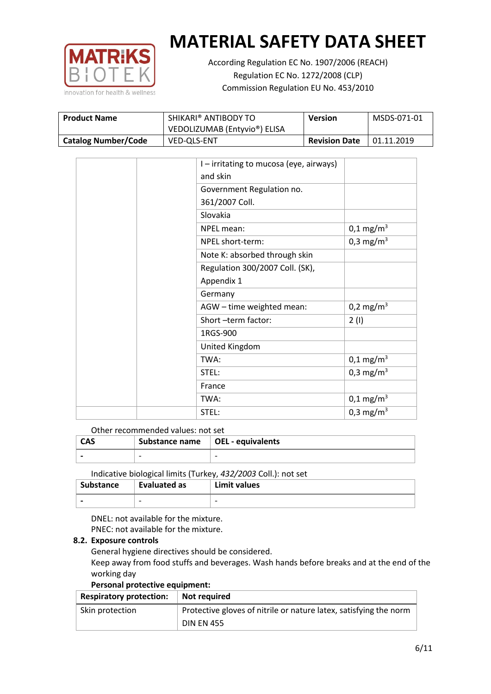

According Regulation EC No. 1907/2006 (REACH) Regulation EC No. 1272/2008 (CLP) Commission Regulation EU No. 453/2010

| SHIKARI® ANTIBODY TO<br><b>Product Name</b><br>VEDOLIZUMAB (Entyvio®) ELISA |                    | <b>Version</b>       | MSDS-071-01 |
|-----------------------------------------------------------------------------|--------------------|----------------------|-------------|
| <b>Catalog Number/Code</b>                                                  | <b>VED-QLS-ENT</b> | <b>Revision Date</b> | 01.11.2019  |

| I – irritating to mucosa (eye, airways) |                       |
|-----------------------------------------|-----------------------|
| and skin                                |                       |
| Government Regulation no.               |                       |
| 361/2007 Coll.                          |                       |
| Slovakia                                |                       |
| NPEL mean:                              | $0,1 \text{ mg/m}^3$  |
| NPEL short-term:                        | 0,3 mg/m <sup>3</sup> |
| Note K: absorbed through skin           |                       |
| Regulation 300/2007 Coll. (SK),         |                       |
| Appendix 1                              |                       |
| Germany                                 |                       |
| AGW - time weighted mean:               | 0,2 mg/m <sup>3</sup> |
| Short-term factor:                      | 2(1)                  |
| 1RGS-900                                |                       |
| United Kingdom                          |                       |
| TWA:                                    | $0,1 \text{ mg/m}^3$  |
| STEL:                                   | 0,3 mg/m <sup>3</sup> |
| France                                  |                       |
| TWA:                                    | $0,1 \text{ mg/m}^3$  |
| STEL:                                   | 0,3 mg/m <sup>3</sup> |

#### Other recommended values: not set

| <b>CAS</b> | Substance name $\vert$ OEL - equivalents |  |
|------------|------------------------------------------|--|
|            | $\overline{\phantom{0}}$                 |  |
|            |                                          |  |

Indicative biological limits (Turkey, *432/2003* Coll.): not set

| Substance                | Evaluated as             | Limit values             |
|--------------------------|--------------------------|--------------------------|
| $\overline{\phantom{0}}$ | $\overline{\phantom{0}}$ | $\overline{\phantom{0}}$ |

DNEL: not available for the mixture. PNEC: not available for the mixture.

## **8.2. Exposure controls**

General hygiene directives should be considered.

Keep away from food stuffs and beverages. Wash hands before breaks and at the end of the working day

#### **Personal protective equipment:**

| <b>Respiratory protection:</b> | Not required                                                      |
|--------------------------------|-------------------------------------------------------------------|
| Skin protection                | Protective gloves of nitrile or nature latex, satisfying the norm |
|                                | <b>DIN EN 455</b>                                                 |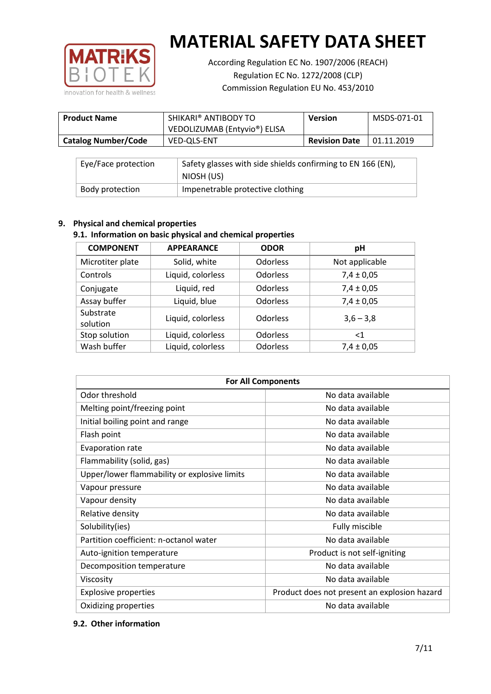

According Regulation EC No. 1907/2006 (REACH) Regulation EC No. 1272/2008 (CLP) Commission Regulation EU No. 453/2010

| <b>Product Name</b>        | SHIKARI® ANTIBODY TO<br>VEDOLIZUMAB (Entyvio®) ELISA | <b>Version</b>       | MSDS-071-01 |
|----------------------------|------------------------------------------------------|----------------------|-------------|
| <b>Catalog Number/Code</b> | <b>VED-OLS-ENT</b>                                   | <b>Revision Date</b> | 01.11.2019  |

| Eye/Face protection | Safety glasses with side shields confirming to EN 166 (EN),<br>NIOSH (US) |
|---------------------|---------------------------------------------------------------------------|
| Body protection     | Impenetrable protective clothing                                          |

## **9. Physical and chemical properties**

## **9.1. Information on basic physical and chemical properties**

| <b>COMPONENT</b>      | <b>APPEARANCE</b> | <b>ODOR</b>     | pH             |
|-----------------------|-------------------|-----------------|----------------|
| Microtiter plate      | Solid, white      | Odorless        | Not applicable |
| Controls              | Liquid, colorless | <b>Odorless</b> | $7,4 \pm 0,05$ |
| Conjugate             | Liquid, red       | Odorless        | $7,4 \pm 0,05$ |
| Assay buffer          | Liquid, blue      | <b>Odorless</b> | $7,4 \pm 0,05$ |
| Substrate<br>solution | Liquid, colorless | Odorless        | $3,6 - 3,8$    |
| Stop solution         | Liquid, colorless | <b>Odorless</b> | $<$ 1          |
| Wash buffer           | Liquid, colorless | Odorless        | $7,4 \pm 0,05$ |

| <b>For All Components</b>                    |                                              |  |  |
|----------------------------------------------|----------------------------------------------|--|--|
| Odor threshold                               | No data available                            |  |  |
| Melting point/freezing point                 | No data available                            |  |  |
| Initial boiling point and range              | No data available                            |  |  |
| Flash point                                  | No data available                            |  |  |
| Evaporation rate                             | No data available                            |  |  |
| Flammability (solid, gas)                    | No data available                            |  |  |
| Upper/lower flammability or explosive limits | No data available                            |  |  |
| Vapour pressure                              | No data available                            |  |  |
| Vapour density                               | No data available                            |  |  |
| Relative density                             | No data available                            |  |  |
| Solubility(ies)                              | Fully miscible                               |  |  |
| Partition coefficient: n-octanol water       | No data available                            |  |  |
| Auto-ignition temperature                    | Product is not self-igniting                 |  |  |
| Decomposition temperature                    | No data available                            |  |  |
| Viscosity                                    | No data available                            |  |  |
| <b>Explosive properties</b>                  | Product does not present an explosion hazard |  |  |
| Oxidizing properties                         | No data available                            |  |  |

## **9.2. Other information**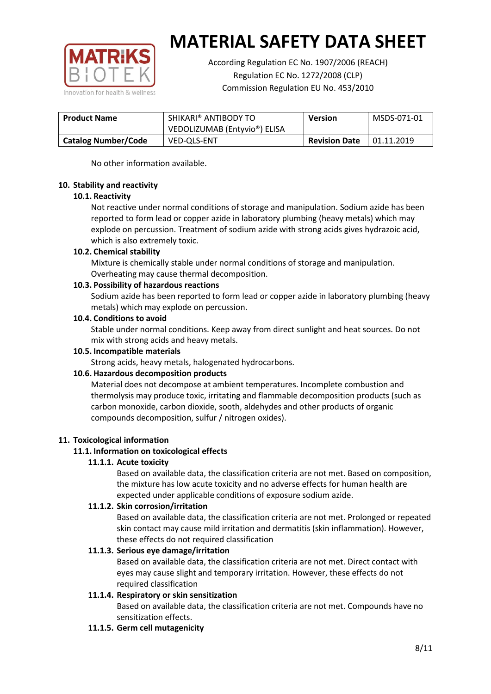

According Regulation EC No. 1907/2006 (REACH) Regulation EC No. 1272/2008 (CLP) Commission Regulation EU No. 453/2010

| <b>Product Name</b>        | SHIKARI® ANTIBODY TO<br>VEDOLIZUMAB (Entyvio <sup>®</sup> ) ELISA |                      | MSDS-071-01 |
|----------------------------|-------------------------------------------------------------------|----------------------|-------------|
| <b>Catalog Number/Code</b> | <b>VED-OLS-ENT</b>                                                | <b>Revision Date</b> | 01.11.2019  |

No other information available.

### **10. Stability and reactivity**

### **10.1. Reactivity**

Not reactive under normal conditions of storage and manipulation. Sodium azide has been reported to form lead or copper azide in laboratory plumbing (heavy metals) which may explode on percussion. Treatment of sodium azide with strong acids gives hydrazoic acid, which is also extremely toxic.

### **10.2. Chemical stability**

Mixture is chemically stable under normal conditions of storage and manipulation. Overheating may cause thermal decomposition.

### **10.3. Possibility of hazardous reactions**

Sodium azide has been reported to form lead or copper azide in laboratory plumbing (heavy metals) which may explode on percussion.

### **10.4. Conditions to avoid**

Stable under normal conditions. Keep away from direct sunlight and heat sources. Do not mix with strong acids and heavy metals.

#### **10.5. Incompatible materials**

Strong acids, heavy metals, halogenated hydrocarbons.

## **10.6. Hazardous decomposition products**

Material does not decompose at ambient temperatures. Incomplete combustion and thermolysis may produce toxic, irritating and flammable decomposition products (such as carbon monoxide, carbon dioxide, sooth, aldehydes and other products of organic compounds decomposition, sulfur / nitrogen oxides).

## **11. Toxicological information**

## **11.1. Information on toxicological effects**

#### **11.1.1. Acute toxicity**

Based on available data, the classification criteria are not met. Based on composition, the mixture has low acute toxicity and no adverse effects for human health are expected under applicable conditions of exposure sodium azide.

#### **11.1.2. Skin corrosion/irritation**

Based on available data, the classification criteria are not met. Prolonged or repeated skin contact may cause mild irritation and dermatitis (skin inflammation). However, these effects do not required classification

## **11.1.3. Serious eye damage/irritation**

Based on available data, the classification criteria are not met. Direct contact with eyes may cause slight and temporary irritation. However, these effects do not required classification

## **11.1.4. Respiratory or skin sensitization**

Based on available data, the classification criteria are not met. Compounds have no sensitization effects.

#### **11.1.5. Germ cell mutagenicity**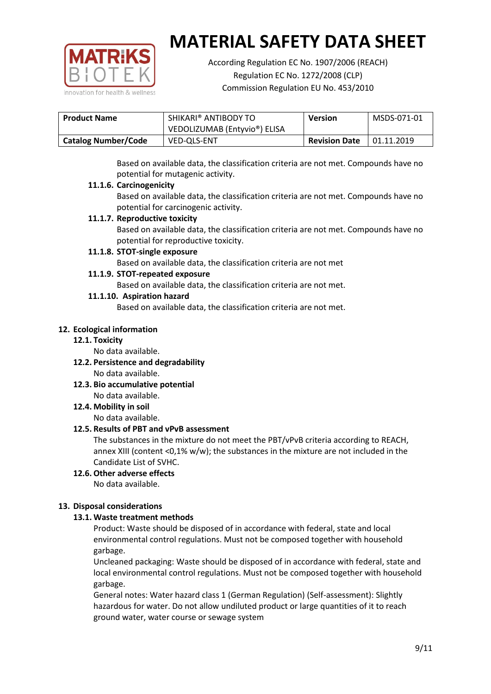

According Regulation EC No. 1907/2006 (REACH) Regulation EC No. 1272/2008 (CLP) Commission Regulation EU No. 453/2010

| <b>Product Name</b>        | SHIKARI® ANTIBODY TO         | <b>Version</b>       | MSDS-071-01 |
|----------------------------|------------------------------|----------------------|-------------|
|                            | VEDOLIZUMAB (Entyvio®) ELISA |                      |             |
| <b>Catalog Number/Code</b> | <b>VED-OLS-ENT</b>           | <b>Revision Date</b> | 01.11.2019  |

Based on available data, the classification criteria are not met. Compounds have no potential for mutagenic activity.

## **11.1.6. Carcinogenicity**

Based on available data, the classification criteria are not met. Compounds have no potential for carcinogenic activity.

## **11.1.7. Reproductive toxicity**

Based on available data, the classification criteria are not met. Compounds have no potential for reproductive toxicity.

### **11.1.8. STOT-single exposure**

Based on available data, the classification criteria are not met

### **11.1.9. STOT-repeated exposure**

Based on available data, the classification criteria are not met.

### **11.1.10. Aspiration hazard**

Based on available data, the classification criteria are not met.

### **12. Ecological information**

#### **12.1. Toxicity**

No data available.

- **12.2. Persistence and degradability** No data available.
- **12.3. Bio accumulative potential** No data available.

**12.4. Mobility in soil**

No data available.

## **12.5. Results of PBT and vPvB assessment**

The substances in the mixture do not meet the PBT/vPvB criteria according to REACH, annex XIII (content <0,1% w/w); the substances in the mixture are not included in the Candidate List of SVHC.

#### **12.6. Other adverse effects** No data available.

## **13. Disposal considerations**

## **13.1. Waste treatment methods**

Product: Waste should be disposed of in accordance with federal, state and local environmental control regulations. Must not be composed together with household garbage.

Uncleaned packaging: Waste should be disposed of in accordance with federal, state and local environmental control regulations. Must not be composed together with household garbage.

General notes: Water hazard class 1 (German Regulation) (Self-assessment): Slightly hazardous for water. Do not allow undiluted product or large quantities of it to reach ground water, water course or sewage system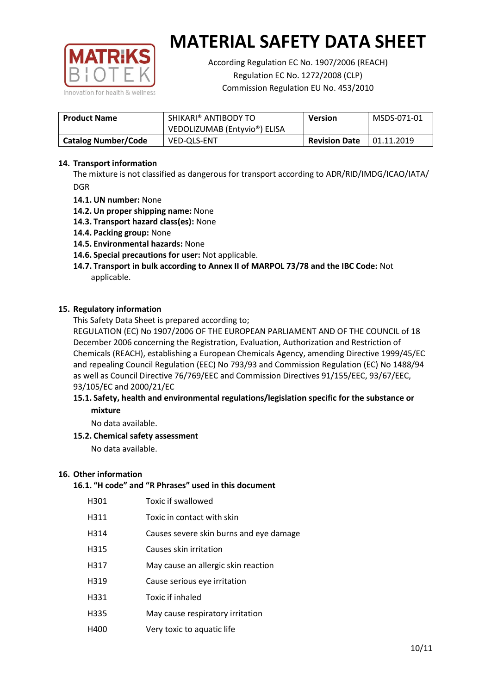

According Regulation EC No. 1907/2006 (REACH) Regulation EC No. 1272/2008 (CLP) Commission Regulation EU No. 453/2010

| <b>Product Name</b>        | SHIKARI® ANTIBODY TO<br><b>Version</b><br>VEDOLIZUMAB (Entyvio®) ELISA |  | MSDS-071-01 |
|----------------------------|------------------------------------------------------------------------|--|-------------|
| <b>Catalog Number/Code</b> | <b>Revision Date</b><br><b>VED-OLS-ENT</b>                             |  | 01.11.2019  |

## **14. Transport information**

The mixture is not classified as dangerous for transport according to ADR/RID/IMDG/ICAO/IATA/ DGR

- **14.1. UN number:** None
- **14.2. Un proper shipping name:** None
- **14.3. Transport hazard class(es):** None
- **14.4. Packing group:** None
- **14.5. Environmental hazards:** None
- **14.6. Special precautions for user:** Not applicable.
- **14.7. Transport in bulk according to Annex II of MARPOL 73/78 and the IBC Code:** Not applicable.

#### **15. Regulatory information**

This Safety Data Sheet is prepared according to;

REGULATION (EC) No 1907/2006 OF THE EUROPEAN PARLIAMENT AND OF THE COUNCIL of 18 December 2006 concerning the Registration, Evaluation, Authorization and Restriction of Chemicals (REACH), establishing a European Chemicals Agency, amending Directive 1999/45/EC and repealing Council Regulation (EEC) No 793/93 and Commission Regulation (EC) No 1488/94 as well as Council Directive 76/769/EEC and Commission Directives 91/155/EEC, 93/67/EEC, 93/105/EC and 2000/21/EC

### **15.1. Safety, health and environmental regulations/legislation specific for the substance or mixture**

No data available.

## **15.2. Chemical safety assessment**

No data available.

#### **16. Other information**

## **16.1. "H code" and "R Phrases" used in this document**

| H301 | Toxic if swallowed |
|------|--------------------|
|------|--------------------|

- H311 Toxic in contact with skin
- H314 Causes severe skin burns and eye damage
- H315 Causes skin irritation
- H317 May cause an allergic skin reaction
- H319 Cause serious eye irritation
- H331 Toxic if inhaled
- H335 May cause respiratory irritation
- H400 Very toxic to aquatic life